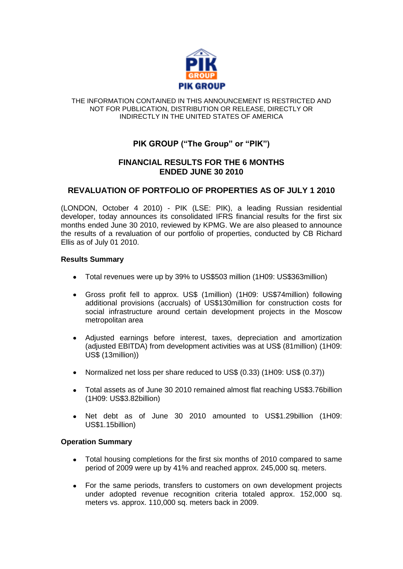

#### THE INFORMATION CONTAINED IN THIS ANNOUNCEMENT IS RESTRICTED AND NOT FOR PUBLICATION, DISTRIBUTION OR RELEASE, DIRECTLY OR INDIRECTLY IN THE UNITED STATES OF AMERICA

# **PIK GROUP ("The Group" or "PIK")**

# **FINANCIAL RESULTS FOR THE 6 MONTHS ENDED JUNE 30 2010**

# **REVALUATION OF PORTFOLIO OF PROPERTIES AS OF JULY 1 2010**

(LONDON, October 4 2010) - PIK (LSE: PIK), a leading Russian residential developer, today announces its consolidated IFRS financial results for the first six months ended June 30 2010, reviewed by KPMG. We are also pleased to announce the results of a revaluation of our portfolio of properties, conducted by CB Richard Ellis as of July 01 2010.

### **Results Summary**

- Total revenues were up by 39% to US\$503 million (1H09: US\$363million)
- Gross profit fell to approx. US\$ (1million) (1H09: US\$74million) following additional provisions (accruals) of US\$130million for construction costs for social infrastructure around certain development projects in the Moscow metropolitan area
- Adjusted earnings before interest, taxes, depreciation and amortization (adjusted EBITDA) from development activities was at US\$ (81million) (1H09: US\$ (13million))
- Normalized net loss per share reduced to US\$ (0.33) (1H09: US\$ (0.37))
- Total assets as of June 30 2010 remained almost flat reaching US\$3.76billion  $\bullet$ (1H09: US\$3.82billion)
- Net debt as of June 30 2010 amounted to US\$1.29billion (1H09: US\$1.15billion)

### **Operation Summary**

- Total housing completions for the first six months of 2010 compared to same  $\bullet$ period of 2009 were up by 41% and reached approx. 245,000 sq. meters.
- For the same periods, transfers to customers on own development projects under adopted revenue recognition criteria totaled approx. 152,000 sq. meters vs. approx. 110,000 sq. meters back in 2009.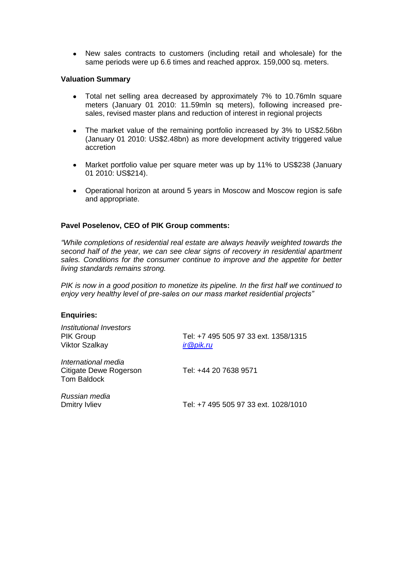New sales contracts to customers (including retail and wholesale) for the same periods were up 6.6 times and reached approx. 159,000 sq. meters.

#### **Valuation Summary**

- Total net selling area decreased by approximately 7% to 10.76mln square meters (January 01 2010: 11.59mln sq meters), following increased presales, revised master plans and reduction of interest in regional projects
- The market value of the remaining portfolio increased by 3% to US\$2.56bn  $\bullet$ (January 01 2010: US\$2.48bn) as more development activity triggered value accretion
- $\bullet$ Market portfolio value per square meter was up by 11% to US\$238 (January 01 2010: US\$214).
- Operational horizon at around 5 years in Moscow and Moscow region is safe and appropriate.

### **Pavel Poselenov, CEO of PIK Group comments:**

*"While completions of residential real estate are always heavily weighted towards the second half of the year, we can see clear signs of recovery in residential apartment sales. Conditions for the consumer continue to improve and the appetite for better living standards remains strong.* 

*PIK is now in a good position to monetize its pipeline. In the first half we continued to enjoy very healthy level of pre-sales on our mass market residential projects"* 

#### **Enquiries:**

| Institutional Investors<br>PIK Group<br>Viktor Szalkay       | Tel: +7 495 505 97 33 ext. 1358/1315<br>ir@pik.ru |
|--------------------------------------------------------------|---------------------------------------------------|
| International media<br>Citigate Dewe Rogerson<br>Tom Baldock | Tel: +44 20 7638 9571                             |
| Russian media<br>Dmitry Ivliev                               | Tel: +7 495 505 97 33 ext. 1028/1010              |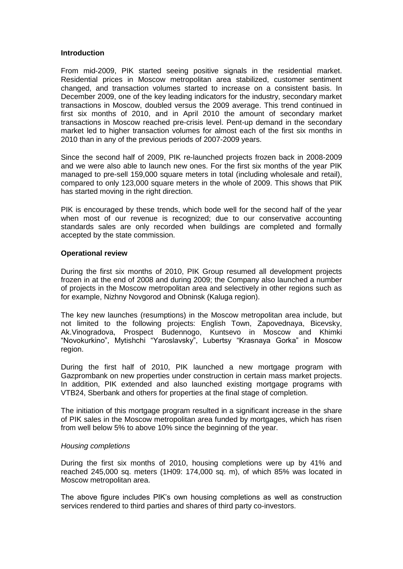#### **Introduction**

From mid-2009, PIK started seeing positive signals in the residential market. Residential prices in Moscow metropolitan area stabilized, customer sentiment changed, and transaction volumes started to increase on a consistent basis. In December 2009, one of the key leading indicators for the industry, secondary market transactions in Moscow, doubled versus the 2009 average. This trend continued in first six months of 2010, and in April 2010 the amount of secondary market transactions in Moscow reached pre-crisis level. Pent-up demand in the secondary market led to higher transaction volumes for almost each of the first six months in 2010 than in any of the previous periods of 2007-2009 years.

Since the second half of 2009, PIK re-launched projects frozen back in 2008-2009 and we were also able to launch new ones. For the first six months of the year PIK managed to pre-sell 159,000 square meters in total (including wholesale and retail), compared to only 123,000 square meters in the whole of 2009. This shows that PIK has started moving in the right direction.

PIK is encouraged by these trends, which bode well for the second half of the year when most of our revenue is recognized; due to our conservative accounting standards sales are only recorded when buildings are completed and formally accepted by the state commission.

### **Operational review**

During the first six months of 2010, PIK Group resumed all development projects frozen in at the end of 2008 and during 2009; the Company also launched a number of projects in the Moscow metropolitan area and selectively in other regions such as for example, Nizhny Novgorod and Obninsk (Kaluga region).

The key new launches (resumptions) in the Moscow metropolitan area include, but not limited to the following projects: English Town, Zapovednaya, Bicevsky, Ak.Vinogradova, Prospect Budennogo, Kuntsevo in Moscow and Khimki "Novokurkino", Mytishchi "Yaroslavsky", Lubertsy "Krasnaya Gorka" in Moscow region.

During the first half of 2010, PIK launched a new mortgage program with Gazprombank on new properties under construction in certain mass market projects. In addition, PIK extended and also launched existing mortgage programs with VTB24, Sberbank and others for properties at the final stage of completion.

The initiation of this mortgage program resulted in a significant increase in the share of PIK sales in the Moscow metropolitan area funded by mortgages, which has risen from well below 5% to above 10% since the beginning of the year.

#### *Housing completions*

During the first six months of 2010, housing completions were up by 41% and reached 245,000 sq. meters (1H09: 174,000 sq. m), of which 85% was located in Moscow metropolitan area.

The above figure includes PIK's own housing completions as well as construction services rendered to third parties and shares of third party co-investors.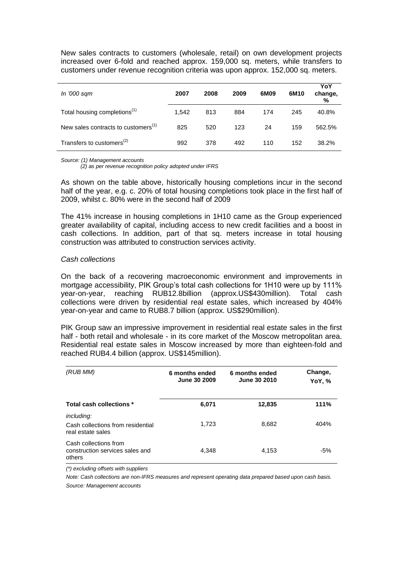New sales contracts to customers (wholesale, retail) on own development projects increased over 6-fold and reached approx. 159,000 sq. meters, while transfers to customers under revenue recognition criteria was upon approx. 152,000 sq. meters.

| In '000 sqm                                     | 2007  | 2008 | 2009 | 6M09 | 6M10 | YoY<br>change,<br>% |
|-------------------------------------------------|-------|------|------|------|------|---------------------|
| Total housing completions <sup>(1)</sup>        | 1.542 | 813  | 884  | 174  | 245  | 40.8%               |
| New sales contracts to customers <sup>(1)</sup> | 825   | 520  | 123  | 24   | 159  | 562.5%              |
| Transfers to customers <sup>(2)</sup>           | 992   | 378  | 492  | 110  | 152  | 38.2%               |

*Source: (1) Management accounts* 

 *(2) as per revenue recognition policy adopted under IFRS*

As shown on the table above, historically housing completions incur in the second half of the year, e.g. c. 20% of total housing completions took place in the first half of 2009, whilst c. 80% were in the second half of 2009

The 41% increase in housing completions in 1H10 came as the Group experienced greater availability of capital, including access to new credit facilities and a boost in cash collections. In addition, part of that sq. meters increase in total housing construction was attributed to construction services activity.

#### *Cash collections*

On the back of a recovering macroeconomic environment and improvements in mortgage accessibility, PIK Group's total cash collections for 1H10 were up by 111% year-on-year, reaching RUB12.8billion (approx.US\$430million). Total cash collections were driven by residential real estate sales, which increased by 404% year-on-year and came to RUB8.7 billion (approx. US\$290million).

PIK Group saw an impressive improvement in residential real estate sales in the first half - both retail and wholesale - in its core market of the Moscow metropolitan area. Residential real estate sales in Moscow increased by more than eighteen-fold and reached RUB4.4 billion (approx. US\$145million).

| (RUB MM)                                                                    | 6 months ended<br>June 30 2009 | 6 months ended<br>June 30 2010 | Change,<br>YoY, % |
|-----------------------------------------------------------------------------|--------------------------------|--------------------------------|-------------------|
| Total cash collections *                                                    | 6,071                          | 12,835                         | 111%              |
| <i>including:</i><br>Cash collections from residential<br>real estate sales | 1.723                          | 8,682                          | 404%              |
| Cash collections from<br>construction services sales and<br>others          | 4.348                          | 4,153                          | $-5%$             |

*(\*) excluding offsets with suppliers*

*Note: Cash collections are non-IFRS measures and represent operating data prepared based upon cash basis. Source: Management accounts*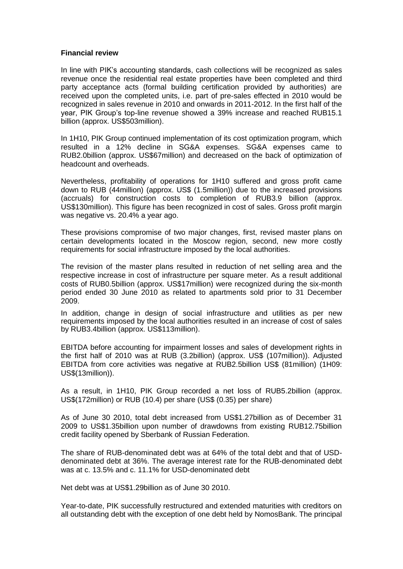#### **Financial review**

In line with PIK's accounting standards, cash collections will be recognized as sales revenue once the residential real estate properties have been completed and third party acceptance acts (formal building certification provided by authorities) are received upon the completed units, i.e. part of pre-sales effected in 2010 would be recognized in sales revenue in 2010 and onwards in 2011-2012. In the first half of the year, PIK Group's top-line revenue showed a 39% increase and reached RUB15.1 billion (approx. US\$503million).

In 1H10, PIK Group continued implementation of its cost optimization program, which resulted in a 12% decline in SG&A expenses. SG&A expenses came to RUB2.0billion (approx. US\$67million) and decreased on the back of optimization of headcount and overheads.

Nevertheless, profitability of operations for 1H10 suffered and gross profit came down to RUB (44million) (approx. US\$ (1.5million)) due to the increased provisions (accruals) for construction costs to completion of RUB3.9 billion (approx. US\$130million). This figure has been recognized in cost of sales. Gross profit margin was negative vs. 20.4% a year ago.

These provisions compromise of two major changes, first, revised master plans on certain developments located in the Moscow region, second, new more costly requirements for social infrastructure imposed by the local authorities.

The revision of the master plans resulted in reduction of net selling area and the respective increase in cost of infrastructure per square meter. As a result additional costs of RUB0.5billion (approx. US\$17million) were recognized during the six-month period ended 30 June 2010 as related to apartments sold prior to 31 December 2009.

In addition, change in design of social infrastructure and utilities as per new requirements imposed by the local authorities resulted in an increase of cost of sales by RUB3.4billion (approx. US\$113million).

EBITDA before accounting for impairment losses and sales of development rights in the first half of 2010 was at RUB (3.2billion) (approx. US\$ (107million)). Adjusted EBITDA from core activities was negative at RUB2.5billion US\$ (81million) (1H09: US\$(13million)).

As a result, in 1H10, PIK Group recorded a net loss of RUB5.2billion (approx. US\$(172million) or RUB (10.4) per share (US\$ (0.35) per share)

As of June 30 2010, total debt increased from US\$1.27billion as of December 31 2009 to US\$1.35billion upon number of drawdowns from existing RUB12.75billion credit facility opened by Sberbank of Russian Federation.

The share of RUB-denominated debt was at 64% of the total debt and that of USDdenominated debt at 36%. The average interest rate for the RUB-denominated debt was at c. 13.5% and c. 11.1% for USD-denominated debt

Net debt was at US\$1.29billion as of June 30 2010.

Year-to-date, PIK successfully restructured and extended maturities with creditors on all outstanding debt with the exception of one debt held by NomosBank. The principal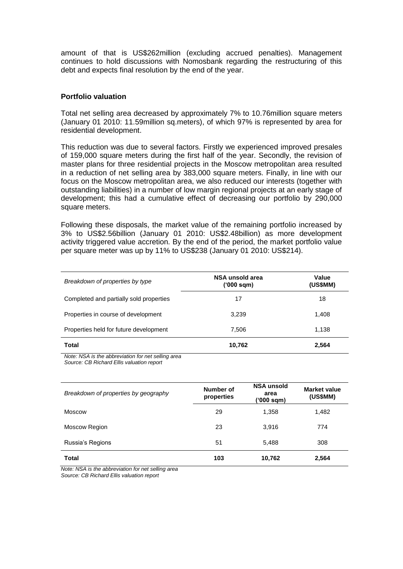amount of that is US\$262million (excluding accrued penalties). Management continues to hold discussions with Nomosbank regarding the restructuring of this debt and expects final resolution by the end of the year.

#### **Portfolio valuation**

Total net selling area decreased by approximately 7% to 10.76million square meters (January 01 2010: 11.59million sq.meters), of which 97% is represented by area for residential development.

This reduction was due to several factors. Firstly we experienced improved presales of 159,000 square meters during the first half of the year. Secondly, the revision of master plans for three residential projects in the Moscow metropolitan area resulted in a reduction of net selling area by 383,000 square meters. Finally, in line with our focus on the Moscow metropolitan area, we also reduced our interests (together with outstanding liabilities) in a number of low margin regional projects at an early stage of development; this had a cumulative effect of decreasing our portfolio by 290,000 square meters.

Following these disposals, the market value of the remaining portfolio increased by 3% to US\$2.56billion (January 01 2010: US\$2.48billion) as more development activity triggered value accretion. By the end of the period, the market portfolio value per square meter was up by 11% to US\$238 (January 01 2010: US\$214).

| Breakdown of properties by type         | NSA unsold area<br>('000 sqm) | Value<br>(US\$MM) |
|-----------------------------------------|-------------------------------|-------------------|
| Completed and partially sold properties | 17                            | 18                |
| Properties in course of development     | 3,239                         | 1,408             |
| Properties held for future development  | 7,506                         | 1,138             |
| Total                                   | 10,762                        | 2,564             |

*Note: NSA is the abbreviation for net selling area Source: CB Richard Ellis valuation report*

| Breakdown of properties by geography | Number of<br>properties | <b>NSA unsold</b><br>area<br>('000 sqm) | <b>Market value</b><br>(US\$MM) |
|--------------------------------------|-------------------------|-----------------------------------------|---------------------------------|
| Moscow                               | 29                      | 1,358                                   | 1,482                           |
| Moscow Region                        | 23                      | 3,916                                   | 774                             |
| Russia's Regions                     | 51                      | 5,488                                   | 308                             |
| <b>Total</b>                         | 103                     | 10,762                                  | 2,564                           |

*Note: NSA is the abbreviation for net selling area Source: CB Richard Ellis valuation report*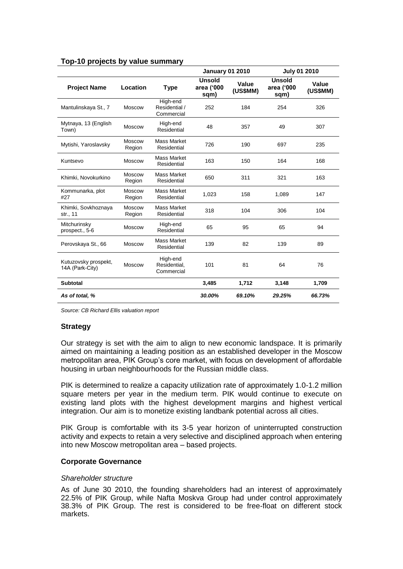|                                         |                  |                                         | <b>January 01 2010</b>              |                   | <b>July 01 2010</b>                 |                   |
|-----------------------------------------|------------------|-----------------------------------------|-------------------------------------|-------------------|-------------------------------------|-------------------|
| <b>Project Name</b>                     | Location         | <b>Type</b>                             | <b>Unsold</b><br>area ('000<br>sqm) | Value<br>(US\$MM) | <b>Unsold</b><br>area ('000<br>sqm) | Value<br>(US\$MM) |
| Mantulinskaya St., 7                    | <b>Moscow</b>    | High-end<br>Residential /<br>Commercial | 252                                 | 184               | 254                                 | 326               |
| Mytnaya, 13 (English<br>Town)           | <b>Moscow</b>    | High-end<br>Residential                 | 48                                  | 357               | 49                                  | 307               |
| Mytishi, Yaroslavsky                    | Moscow<br>Region | Mass Market<br>Residential              | 726                                 | 190               | 697                                 | 235               |
| Kuntsevo                                | Moscow           | Mass Market<br>Residential              | 163                                 | 150               | 164                                 | 168               |
| Khimki, Novokurkino                     | Moscow<br>Region | <b>Mass Market</b><br>Residential       | 650                                 | 311               | 321                                 | 163               |
| Kommunarka, plot<br>#27                 | Moscow<br>Region | <b>Mass Market</b><br>Residential       | 1,023                               | 158               | 1,089                               | 147               |
| Khimki, Sovkhoznaya<br>str., 11         | Moscow<br>Region | Mass Market<br>Residential              | 318                                 | 104               | 306                                 | 104               |
| Mitchurinsky<br>prospect., 5-6          | <b>Moscow</b>    | High-end<br>Residential                 | 65                                  | 95                | 65                                  | 94                |
| Perovskaya St., 66                      | Moscow           | <b>Mass Market</b><br>Residential       | 139                                 | 82                | 139                                 | 89                |
| Kutuzovsky prospekt,<br>14A (Park-City) | <b>Moscow</b>    | High-end<br>Residential.<br>Commercial  | 101                                 | 81                | 64                                  | 76                |
| <b>Subtotal</b>                         |                  |                                         | 3,485                               | 1,712             | 3,148                               | 1,709             |
| As of total, %                          |                  |                                         | 30.00%                              | 69.10%            | 29.25%                              | 66.73%            |

## **Top-10 projects by value summary**

*Source: CB Richard Ellis valuation report*

# **Strategy**

Our strategy is set with the aim to align to new economic landspace. It is primarily aimed on maintaining a leading position as an established developer in the Moscow metropolitan area, PIK Group's core market, with focus on development of affordable housing in urban neighbourhoods for the Russian middle class.

PIK is determined to realize a capacity utilization rate of approximately 1.0-1.2 million square meters per year in the medium term. PIK would continue to execute on existing land plots with the highest development margins and highest vertical integration. Our aim is to monetize existing landbank potential across all cities.

PIK Group is comfortable with its 3-5 year horizon of uninterrupted construction activity and expects to retain a very selective and disciplined approach when entering into new Moscow metropolitan area – based projects.

# **Corporate Governance**

### *Shareholder structure*

As of June 30 2010, the founding shareholders had an interest of approximately 22.5% of PIK Group, while Nafta Moskva Group had under control approximately 38.3% of PIK Group. The rest is considered to be free-float on different stock markets.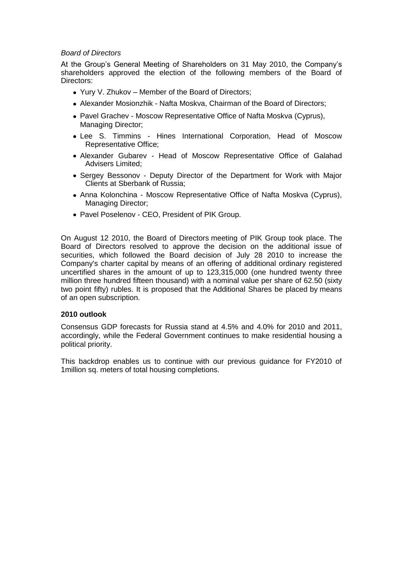### *Board of Directors*

At the Group's General Meeting of Shareholders on 31 May 2010, the Company's shareholders approved the election of the following members of the Board of Directors:

- Yury V. Zhukov Member of the Board of Directors;
- Alexander Mosionzhik Nafta Moskva, Chairman of the Board of Directors;
- Pavel Grachev Moscow Representative Office of Nafta Moskva (Cyprus), Managing Director;
- Lee S. Timmins Hines International Corporation, Head of Moscow Representative Office;
- Alexander Gubarev Head of Moscow Representative Office of Galahad Advisers Limited;
- Sergey Bessonov Deputy Director of the Department for Work with Major Clients at Sberbank of Russia;
- Anna Kolonchina Moscow Representative Office of Nafta Moskva (Cyprus), Managing Director;
- Pavel Poselenov CEO, President of PIK Group.

On August 12 2010, the Board of Directors meeting of PIK Group took place. The Board of Directors resolved to approve the decision on the additional issue of securities, which followed the Board decision of July 28 2010 to increase the Company's charter capital by means of an offering of additional ordinary registered uncertified shares in the amount of up to 123,315,000 (one hundred twenty three million three hundred fifteen thousand) with a nominal value per share of 62.50 (sixty two point fifty) rubles. It is proposed that the Additional Shares be placed by means of an open subscription.

### **2010 outlook**

Consensus GDP forecasts for Russia stand at 4.5% and 4.0% for 2010 and 2011, accordingly, while the Federal Government continues to make residential housing a political priority.

This backdrop enables us to continue with our previous guidance for FY2010 of 1million sq. meters of total housing completions.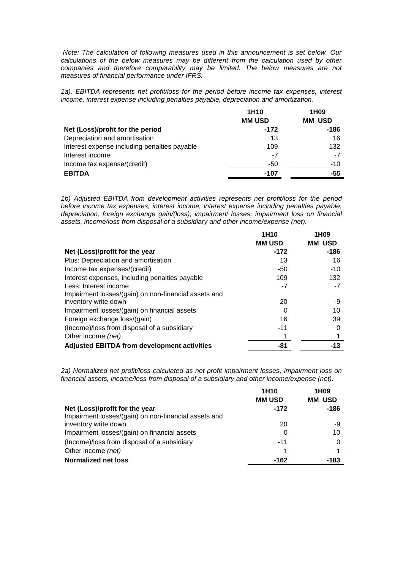*Note: The calculation of following measures used in this announcement is set below. Our calculations of the below measures may be different from the calculation used by other*  companies and therefore comparability may be limited. The below measures are not *measures of financial performance under IFRS.* 

*1a). EBITDA represents net profit/loss for the period before income tax expenses, interest income, interest expense including penalties payable, depreciation and amortization.*

|                                              | 1H <sub>10</sub> | 1H <sub>09</sub> |
|----------------------------------------------|------------------|------------------|
|                                              | <b>MM USD</b>    | <b>MM USD</b>    |
| Net (Loss)/profit for the period             | $-172$           | $-186$           |
| Depreciation and amortisation                | 13               | 16               |
| Interest expense including penalties payable | 109              | 132              |
| Interest income                              | -7               | -7               |
| Income tax expense/(credit)                  | -50              | $-10$            |
| <b>EBITDA</b>                                | -107             | -55              |

*1b) Adjusted EBITDA from development activities represents net profit/loss for the period before income tax expenses, interest income, interest expense including penalties payable, depreciation, foreign exchange gain/(loss), impairment losses, impairment loss on financial assets, income/loss from disposal of a subsidiary and other income/expense (net).*

|                                                      | 1H <sub>10</sub> | 1H <sub>09</sub> |
|------------------------------------------------------|------------------|------------------|
|                                                      | <b>MM USD</b>    | USD<br>MМ        |
| Net (Loss)/profit for the year                       | $-172$           | $-186$           |
| Plus: Depreciation and amortisation                  | 13               | 16               |
| Income tax expenses/(credit)                         | $-50$            | $-10$            |
| Interest expenses, including penalties payable       | 109              | 132              |
| Less: Interest income                                | $-7$             | -7               |
| Impairment losses/(gain) on non-financial assets and |                  |                  |
| inventory write down                                 | 20               | -9               |
| Impairment losses/(gain) on financial assets         | O                | 10               |
| Foreign exchange loss/(gain)                         | 16               | 39               |
| (Income)/loss from disposal of a subsidiary          | $-11$            |                  |
| Other income (net)                                   |                  |                  |
| <b>Adjusted EBITDA from development activities</b>   | -81              | -13              |

*2a) Normalized net profit/loss calculated as net profit impairment losses, impairment loss on financial assets, income/loss from disposal of a subsidiary and other income/expense (net).*

|                                                      | 1H <sub>10</sub> | 1H <sub>09</sub> |
|------------------------------------------------------|------------------|------------------|
|                                                      | <b>MM USD</b>    | <b>MM USD</b>    |
| Net (Loss)/profit for the year                       | $-172$           | $-186$           |
| Impairment losses/(gain) on non-financial assets and |                  |                  |
| inventory write down                                 | 20               | -9               |
| Impairment losses/(gain) on financial assets         |                  | 10               |
| (Income)/loss from disposal of a subsidiary          | $-11$            | 0                |
| Other income (net)                                   |                  |                  |
| <b>Normalized net loss</b>                           | $-162$           | -183             |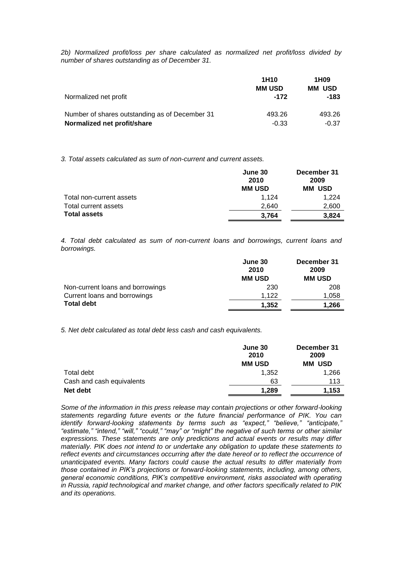*2b) Normalized profit/loss per share calculated as normalized net profit/loss divided by number of shares outstanding as of December 31.*

|                                                | 1H <sub>10</sub><br><b>MM USD</b> | 1H <sub>09</sub><br><b>MM USD</b> |
|------------------------------------------------|-----------------------------------|-----------------------------------|
| Normalized net profit                          | $-172$                            | -183                              |
| Number of shares outstanding as of December 31 | 493.26                            | 493.26                            |
| Normalized net profit/share                    | $-0.33$                           | $-0.37$                           |

*3. Total assets calculated as sum of non-current and current assets.*

|                          | June 30<br>2010<br><b>MM USD</b> | December 31<br>2009<br><b>MM USD</b> |
|--------------------------|----------------------------------|--------------------------------------|
| Total non-current assets | 1.124                            | 1.224                                |
| Total current assets     | 2.640                            | 2,600                                |
| <b>Total assets</b>      | 3,764                            | 3.824                                |

*4. Total debt calculated as sum of non-current loans and borrowings, current loans and borrowings.*

| June 30<br>2010 | December 31<br>2009 |
|-----------------|---------------------|
| <b>MM USD</b>   | <b>MM USD</b>       |
| 230             | 208                 |
| 1.122           | 1,058               |
| 1,352           | 1.266               |
|                 |                     |

*5. Net debt calculated as total debt less cash and cash equivalents.*

|                           | June 30<br>2010 | December 31<br>2009 |  |
|---------------------------|-----------------|---------------------|--|
|                           | <b>MM USD</b>   | <b>MM USD</b>       |  |
| Total debt                | 1.352           | 1,266               |  |
| Cash and cash equivalents | 63              | 113                 |  |
| Net debt                  | 1.289           | 1,153               |  |

*Some of the information in this press release may contain projections or other forward-looking statements regarding future events or the future financial performance of PIK. You can identify forward-looking statements by terms such as "expect," "believe," "anticipate," "estimate," "intend," "will," "could," "may" or "might" the negative of such terms or other similar expressions. These statements are only predictions and actual events or results may differ materially. PIK does not intend to or undertake any obligation to update these statements to reflect events and circumstances occurring after the date hereof or to reflect the occurrence of unanticipated events. Many factors could cause the actual results to differ materially from those contained in PIK's projections or forward-looking statements, including, among others, general economic conditions, PIK's competitive environment, risks associated with operating in Russia, rapid technological and market change, and other factors specifically related to PIK and its operations.*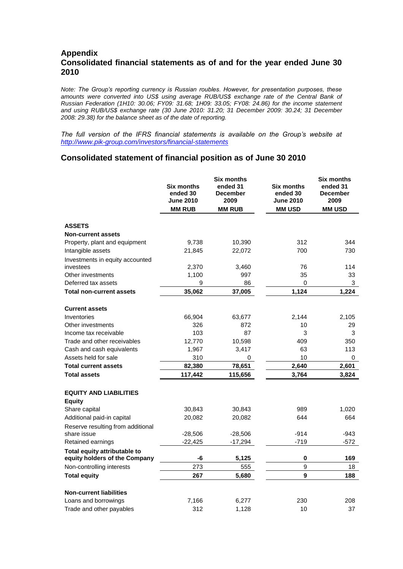# **Appendix Consolidated financial statements as of and for the year ended June 30 2010**

*Note: The Group's reporting currency is Russian roubles. However, for presentation purposes, these amounts were converted into US\$ using average RUB/US\$ exchange rate of the Central Bank of Russian Federation (1H10: 30.06; FY09: 31.68; 1H09: 33.05; FY08: 24.86) for the income statement and using RUB/US\$ exchange rate (30 June 2010: 31.20; 31 December 2009: 30.24; 31 December 2008: 29.38) for the balance sheet as of the date of reporting.*

*The full version of the IFRS financial statements is available on the Group's website at <http://www.pik-group.com/investors/financial-statements>*

### **Consolidated statement of financial position as of June 30 2010**

|                                                | <b>Six months</b>            | <b>Six months</b><br>ended 31 | <b>Six months</b>            | <b>Six months</b><br>ended 31 |
|------------------------------------------------|------------------------------|-------------------------------|------------------------------|-------------------------------|
|                                                | ended 30<br><b>June 2010</b> | <b>December</b><br>2009       | ended 30<br><b>June 2010</b> | <b>December</b><br>2009       |
|                                                | <b>MM RUB</b>                | <b>MM RUB</b>                 | <b>MM USD</b>                | <b>MM USD</b>                 |
| <b>ASSETS</b>                                  |                              |                               |                              |                               |
| <b>Non-current assets</b>                      |                              |                               |                              |                               |
| Property, plant and equipment                  | 9,738                        | 10,390                        | 312                          | 344                           |
| Intangible assets                              | 21,845                       | 22,072                        | 700                          | 730                           |
|                                                |                              |                               |                              |                               |
| Investments in equity accounted<br>investees   | 2,370                        | 3,460                         | 76                           | 114                           |
| Other investments                              | 1,100                        | 997                           | 35                           | 33                            |
| Deferred tax assets                            | 9                            | 86                            | 0                            | 3                             |
| <b>Total non-current assets</b>                | 35,062                       | 37,005                        | 1,124                        | 1,224                         |
|                                                |                              |                               |                              |                               |
| <b>Current assets</b>                          |                              |                               |                              |                               |
| Inventories                                    | 66,904                       | 63,677                        | 2,144                        | 2,105                         |
| Other investments                              | 326                          | 872                           | 10                           | 29                            |
| Income tax receivable                          | 103                          | 87                            | 3                            | 3                             |
| Trade and other receivables                    | 12,770                       | 10,598                        | 409                          | 350                           |
| Cash and cash equivalents                      | 1,967                        | 3,417                         | 63                           | 113                           |
| Assets held for sale                           | 310                          | 0                             | 10                           | 0                             |
| <b>Total current assets</b>                    | 82,380                       | 78,651                        | 2,640                        | 2,601                         |
| <b>Total assets</b>                            | 117,442                      | 115,656                       | 3,764                        | 3,824                         |
|                                                |                              |                               |                              |                               |
| <b>EQUITY AND LIABILITIES</b><br><b>Equity</b> |                              |                               |                              |                               |
| Share capital                                  | 30,843                       | 30,843                        | 989                          | 1,020                         |
| Additional paid-in capital                     | 20,082                       | 20,082                        | 644                          | 664                           |
| Reserve resulting from additional              |                              |                               |                              |                               |
| share issue                                    | $-28,506$                    | $-28,506$                     | $-914$                       | $-943$                        |
| Retained earnings                              | $-22,425$                    | $-17,294$                     | $-719$                       | $-572$                        |
| Total equity attributable to                   |                              |                               |                              |                               |
| equity holders of the Company                  | -6                           | 5,125                         | 0                            | 169                           |
| Non-controlling interests                      | 273                          | 555                           | 9                            | 18                            |
| <b>Total equity</b>                            | 267                          | 5,680                         | 9                            | 188                           |
| <b>Non-current liabilities</b>                 |                              |                               |                              |                               |
| Loans and borrowings                           | 7,166                        | 6,277                         | 230                          | 208                           |
| Trade and other payables                       | 312                          | 1,128                         | 10                           | 37                            |
|                                                |                              |                               |                              |                               |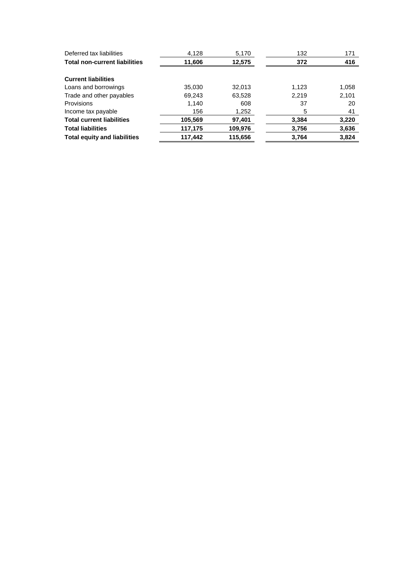| Deferred tax liabilities             | 4,128   | 5,170   | 132   | 171   |
|--------------------------------------|---------|---------|-------|-------|
| <b>Total non-current liabilities</b> | 11,606  | 12,575  | 372   | 416   |
| <b>Current liabilities</b>           |         |         |       |       |
| Loans and borrowings                 | 35,030  | 32,013  | 1,123 | 1,058 |
| Trade and other payables             | 69,243  | 63,528  | 2,219 | 2,101 |
| Provisions                           | 1,140   | 608     | 37    | 20    |
| Income tax payable                   | 156     | 1,252   | 5     | 41    |
| <b>Total current liabilities</b>     | 105,569 | 97,401  | 3,384 | 3,220 |
| <b>Total liabilities</b>             | 117,175 | 109,976 | 3,756 | 3,636 |
| <b>Total equity and liabilities</b>  | 117,442 | 115,656 | 3,764 | 3,824 |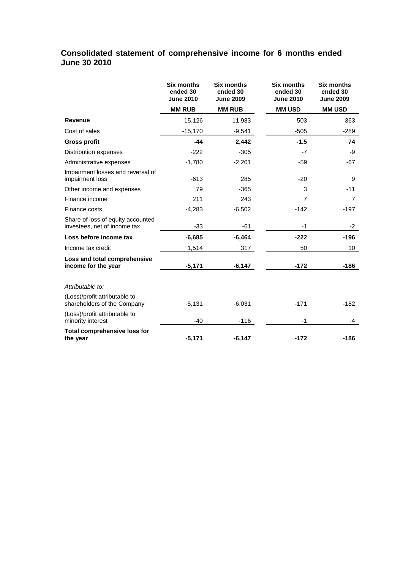## **Consolidated statement of comprehensive income for 6 months ended June 30 2010**

|                                                                   | <b>Six months</b><br>ended 30<br><b>June 2010</b> | <b>Six months</b><br>ended 30<br><b>June 2009</b> | <b>Six months</b><br>ended 30<br><b>June 2010</b> | <b>Six months</b><br>ended 30<br><b>June 2009</b> |
|-------------------------------------------------------------------|---------------------------------------------------|---------------------------------------------------|---------------------------------------------------|---------------------------------------------------|
|                                                                   | <b>MM RUB</b>                                     | <b>MM RUB</b>                                     | <b>MM USD</b>                                     | <b>MM USD</b>                                     |
| Revenue                                                           | 15,126                                            | 11,983                                            | 503                                               | 363                                               |
| Cost of sales                                                     | $-15,170$                                         | $-9,541$                                          | $-505$                                            | $-289$                                            |
| <b>Gross profit</b>                                               | $-44$                                             | 2,442                                             | $-1.5$                                            | 74                                                |
| Distribution expenses                                             | $-222$                                            | $-305$                                            | $-7$                                              | -9                                                |
| Administrative expenses                                           | $-1,780$                                          | $-2,201$                                          | $-59$                                             | -67                                               |
| Impairment losses and reversal of<br>impairment loss              | $-613$                                            | 285                                               | $-20$                                             | 9                                                 |
| Other income and expenses                                         | 79                                                | $-365$                                            | 3                                                 | $-11$                                             |
| Finance income                                                    | 211                                               | 243                                               | 7                                                 | $\overline{7}$                                    |
| Finance costs                                                     | $-4,283$                                          | $-6,502$                                          | $-142$                                            | $-197$                                            |
| Share of loss of equity accounted<br>investees, net of income tax | $-33$                                             | $-61$                                             | $-1$                                              | -2                                                |
| Loss before income tax                                            | $-6,685$                                          | $-6,464$                                          | $-222$                                            | $-196$                                            |
| Income tax credit                                                 | 1,514                                             | 317                                               | 50                                                | 10                                                |
| Loss and total comprehensive<br>income for the year               | $-5,171$                                          | -6,147                                            | $-172$                                            | $-186$                                            |
| Attributable to:                                                  |                                                   |                                                   |                                                   |                                                   |
| (Loss)/profit attributable to<br>shareholders of the Company      | $-5,131$                                          | $-6,031$                                          | $-171$                                            | $-182$                                            |
| (Loss)/profit attributable to<br>minority interest                | $-40$                                             | $-116$                                            | -1                                                | -4                                                |
| <b>Total comprehensive loss for</b><br>the year                   | $-5,171$                                          | $-6,147$                                          | $-172$                                            | $-186$                                            |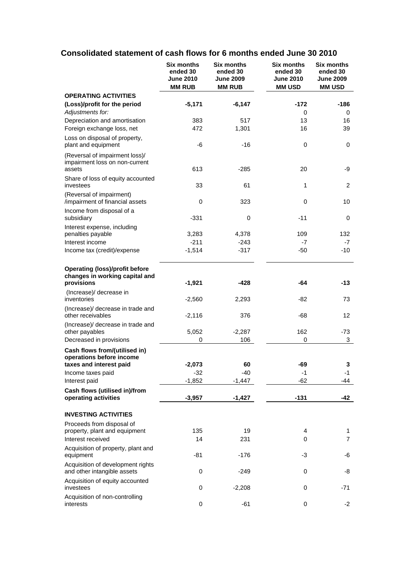# **Consolidated statement of cash flows for 6 months ended June 30 2010**

|                                                                                       | <b>Six months</b><br>ended 30<br><b>June 2010</b><br><b>MM RUB</b> | <b>Six months</b><br>ended 30<br><b>June 2009</b><br><b>MM RUB</b> | <b>Six months</b><br>ended 30<br><b>June 2010</b><br><b>MM USD</b> | <b>Six months</b><br>ended 30<br><b>June 2009</b><br><b>MM USD</b> |
|---------------------------------------------------------------------------------------|--------------------------------------------------------------------|--------------------------------------------------------------------|--------------------------------------------------------------------|--------------------------------------------------------------------|
| <b>OPERATING ACTIVITIES</b>                                                           |                                                                    |                                                                    |                                                                    |                                                                    |
| (Loss)/profit for the period<br>Adjustments for:                                      | $-5,171$                                                           | $-6,147$                                                           | -172<br>0                                                          | $-186$<br>0                                                        |
| Depreciation and amortisation<br>Foreign exchange loss, net                           | 383<br>472                                                         | 517<br>1,301                                                       | 13<br>16                                                           | 16<br>39                                                           |
| Loss on disposal of property,<br>plant and equipment                                  | -6                                                                 | $-16$                                                              | $\mathbf 0$                                                        | 0                                                                  |
| (Reversal of impairment loss)/<br>impairment loss on non-current<br>assets            | 613                                                                | $-285$                                                             | 20                                                                 | -9                                                                 |
| Share of loss of equity accounted<br>investees                                        | 33                                                                 | 61                                                                 | 1                                                                  | 2                                                                  |
| (Reversal of impairment)                                                              |                                                                    |                                                                    |                                                                    |                                                                    |
| /impairment of financial assets<br>Income from disposal of a                          | 0                                                                  | 323                                                                | $\mathbf 0$<br>$-11$                                               | 10                                                                 |
| subsidiary<br>Interest expense, including                                             | -331                                                               | 0                                                                  |                                                                    | 0                                                                  |
| penalties payable                                                                     | 3,283                                                              | 4,378                                                              | 109                                                                | 132                                                                |
| Interest income                                                                       | $-211$                                                             | $-243$                                                             | $-7$                                                               | $-7$                                                               |
| Income tax (credit)/expense                                                           | $-1,514$                                                           | $-317$                                                             | $-50$                                                              | $-10$                                                              |
| <b>Operating (loss)/profit before</b><br>changes in working capital and<br>provisions | $-1,921$                                                           | -428                                                               | -64                                                                | $-13$                                                              |
| (Increase)/ decrease in<br>inventories                                                | $-2,560$                                                           | 2,293                                                              | -82                                                                | 73                                                                 |
| (Increase)/ decrease in trade and<br>other receivables                                | $-2,116$                                                           | 376                                                                | -68                                                                | 12                                                                 |
| (Increase)/ decrease in trade and<br>other payables                                   | 5,052                                                              | $-2,287$                                                           | 162                                                                | -73                                                                |
| Decreased in provisions                                                               | 0                                                                  | 106                                                                | 0                                                                  | 3                                                                  |
| Cash flows from/(utilised in)<br>operations before income                             |                                                                    |                                                                    |                                                                    |                                                                    |
| taxes and interest paid                                                               | $-2,073$                                                           | 60                                                                 | -69                                                                | 3                                                                  |
| Income taxes paid                                                                     | $-32$                                                              | $-40$                                                              | -1                                                                 | $-1$                                                               |
| Interest paid                                                                         | $-1,852$                                                           | $-1,447$                                                           | $-62$                                                              | -44                                                                |
| Cash flows (utilised in)/from<br>operating activities                                 | $-3,957$                                                           | $-1,427$                                                           | $-131$                                                             | -42                                                                |
| <b>INVESTING ACTIVITIES</b>                                                           |                                                                    |                                                                    |                                                                    |                                                                    |
| Proceeds from disposal of                                                             |                                                                    |                                                                    |                                                                    |                                                                    |
| property, plant and equipment                                                         | 135                                                                | 19                                                                 | 4                                                                  | 1                                                                  |
| Interest received                                                                     | 14                                                                 | 231                                                                | 0                                                                  | $\overline{7}$                                                     |
| Acquisition of property, plant and<br>equipment                                       | $-81$                                                              | $-176$                                                             | -3                                                                 | -6                                                                 |
| Acquisition of development rights<br>and other intangible assets                      | 0                                                                  | $-249$                                                             | 0                                                                  | -8                                                                 |
| Acquisition of equity accounted<br>investees                                          | 0                                                                  | $-2,208$                                                           | 0                                                                  | $-71$                                                              |
| Acquisition of non-controlling<br>interests                                           | 0                                                                  | $-61$                                                              | 0                                                                  | $-2$                                                               |